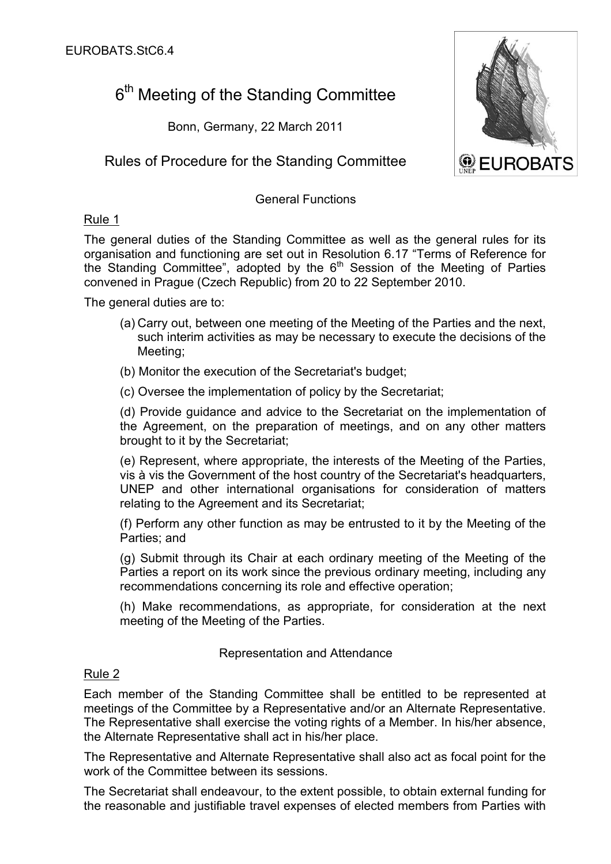# 6<sup>th</sup> Meeting of the Standing Committee

Bonn, Germany, 22 March 2011

Rules of Procedure for the Standing Committee

## General Functions

# Rule 1

The general duties of the Standing Committee as well as the general rules for its organisation and functioning are set out in Resolution 6.17 "Terms of Reference for the Standing Committee", adopted by the  $6<sup>th</sup>$  Session of the Meeting of Parties convened in Prague (Czech Republic) from 20 to 22 September 2010.

The general duties are to:

- (a) Carry out, between one meeting of the Meeting of the Parties and the next, such interim activities as may be necessary to execute the decisions of the Meeting;
- (b) Monitor the execution of the Secretariat's budget;
- (c) Oversee the implementation of policy by the Secretariat;

(d) Provide guidance and advice to the Secretariat on the implementation of the Agreement, on the preparation of meetings, and on any other matters brought to it by the Secretariat;

(e) Represent, where appropriate, the interests of the Meeting of the Parties, vis à vis the Government of the host country of the Secretariat's headquarters, UNEP and other international organisations for consideration of matters relating to the Agreement and its Secretariat;

(f) Perform any other function as may be entrusted to it by the Meeting of the Parties; and

(g) Submit through its Chair at each ordinary meeting of the Meeting of the Parties a report on its work since the previous ordinary meeting, including any recommendations concerning its role and effective operation;

(h) Make recommendations, as appropriate, for consideration at the next meeting of the Meeting of the Parties.

# Representation and Attendance

# Rule 2

Each member of the Standing Committee shall be entitled to be represented at meetings of the Committee by a Representative and/or an Alternate Representative. The Representative shall exercise the voting rights of a Member. In his/her absence, the Alternate Representative shall act in his/her place.

The Representative and Alternate Representative shall also act as focal point for the work of the Committee between its sessions.

The Secretariat shall endeavour, to the extent possible, to obtain external funding for the reasonable and justifiable travel expenses of elected members from Parties with

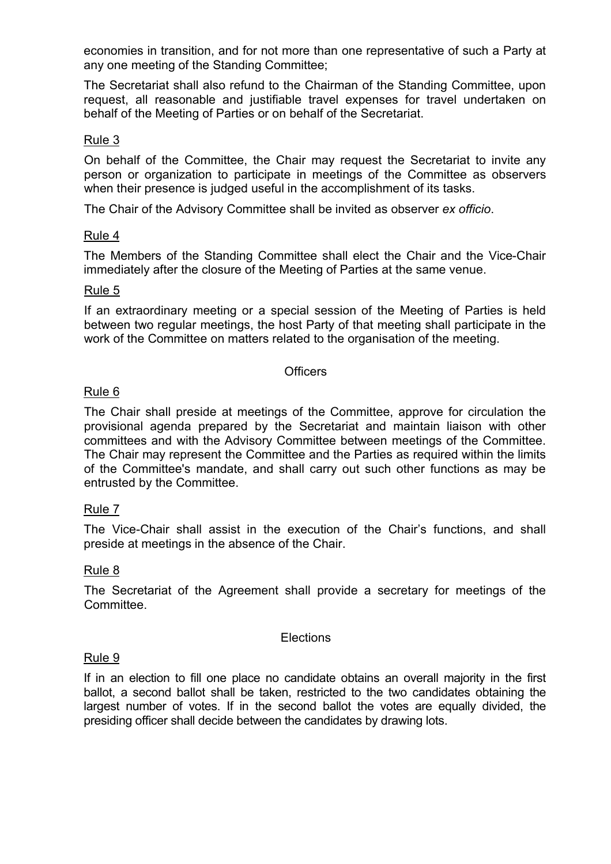economies in transition, and for not more than one representative of such a Party at any one meeting of the Standing Committee;

The Secretariat shall also refund to the Chairman of the Standing Committee, upon request, all reasonable and justifiable travel expenses for travel undertaken on behalf of the Meeting of Parties or on behalf of the Secretariat.

# Rule 3

On behalf of the Committee, the Chair may request the Secretariat to invite any person or organization to participate in meetings of the Committee as observers when their presence is judged useful in the accomplishment of its tasks.

The Chair of the Advisory Committee shall be invited as observer *ex officio*.

## Rule 4

The Members of the Standing Committee shall elect the Chair and the Vice-Chair immediately after the closure of the Meeting of Parties at the same venue.

#### Rule 5

If an extraordinary meeting or a special session of the Meeting of Parties is held between two regular meetings, the host Party of that meeting shall participate in the work of the Committee on matters related to the organisation of the meeting.

#### **Officers**

## Rule 6

The Chair shall preside at meetings of the Committee, approve for circulation the provisional agenda prepared by the Secretariat and maintain liaison with other committees and with the Advisory Committee between meetings of the Committee. The Chair may represent the Committee and the Parties as required within the limits of the Committee's mandate, and shall carry out such other functions as may be entrusted by the Committee.

# Rule 7

The Vice-Chair shall assist in the execution of the Chair's functions, and shall preside at meetings in the absence of the Chair.

# Rule 8

The Secretariat of the Agreement shall provide a secretary for meetings of the Committee.

#### **Elections**

#### Rule 9

If in an election to fill one place no candidate obtains an overall majority in the first ballot, a second ballot shall be taken, restricted to the two candidates obtaining the largest number of votes. If in the second ballot the votes are equally divided, the presiding officer shall decide between the candidates by drawing lots.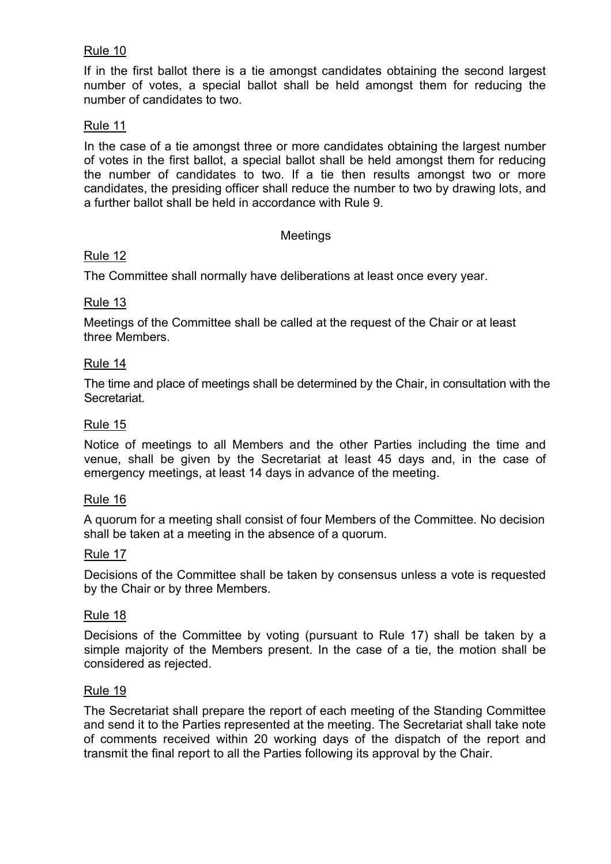## Rule 10

If in the first ballot there is a tie amongst candidates obtaining the second largest number of votes, a special ballot shall be held amongst them for reducing the number of candidates to two.

#### Rule 11

In the case of a tie amongst three or more candidates obtaining the largest number of votes in the first ballot, a special ballot shall be held amongst them for reducing the number of candidates to two. If a tie then results amongst two or more candidates, the presiding officer shall reduce the number to two by drawing lots, and a further ballot shall be held in accordance with Rule 9.

#### Meetings

#### Rule 12

The Committee shall normally have deliberations at least once every year.

## Rule 13

Meetings of the Committee shall be called at the request of the Chair or at least three Members.

#### Rule 14

The time and place of meetings shall be determined by the Chair, in consultation with the Secretariat.

#### Rule 15

Notice of meetings to all Members and the other Parties including the time and venue, shall be given by the Secretariat at least 45 days and, in the case of emergency meetings, at least 14 days in advance of the meeting.

#### Rule 16

A quorum for a meeting shall consist of four Members of the Committee. No decision shall be taken at a meeting in the absence of a quorum.

#### Rule 17

Decisions of the Committee shall be taken by consensus unless a vote is requested by the Chair or by three Members.

#### Rule 18

Decisions of the Committee by voting (pursuant to Rule 17) shall be taken by a simple majority of the Members present. In the case of a tie, the motion shall be considered as rejected.

#### Rule 19

The Secretariat shall prepare the report of each meeting of the Standing Committee and send it to the Parties represented at the meeting. The Secretariat shall take note of comments received within 20 working days of the dispatch of the report and transmit the final report to all the Parties following its approval by the Chair.